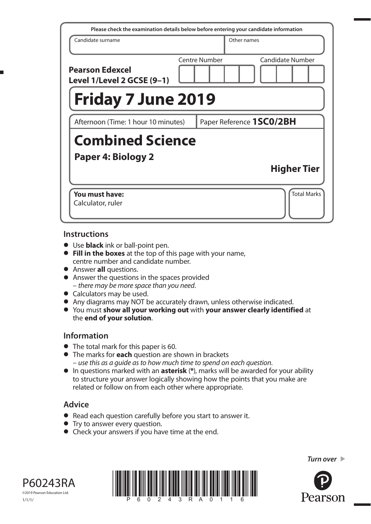| Please check the examination details below before entering your candidate information |                      |             |                          |
|---------------------------------------------------------------------------------------|----------------------|-------------|--------------------------|
| Candidate surname                                                                     |                      | Other names |                          |
| <b>Pearson Edexcel</b><br>Level 1/Level 2 GCSE (9-1)                                  | <b>Centre Number</b> |             | <b>Candidate Number</b>  |
| <b>Friday 7 June 2019</b>                                                             |                      |             |                          |
| Afternoon (Time: 1 hour 10 minutes)                                                   |                      |             | Paper Reference 1SC0/2BH |
| <b>Combined Science</b><br>Paper 4: Biology 2                                         |                      |             |                          |
|                                                                                       |                      |             | <b>Higher Tier</b>       |
| You must have:<br>Calculator, ruler                                                   |                      |             | <b>Total Marks</b>       |

### **Instructions**

- Use **black** ink or ball-point pen.
- **Fill in the boxes** at the top of this page with your name, centre number and candidate number.
- Answer **all** questions.
- Answer the questions in the spaces provided – there may be more space than you need.
- Calculators may be used.
- Any diagrams may NOT be accurately drawn, unless otherwise indicated.
- You must **show all your working out** with **your answer clearly identified** at the **end of your solution**.

# **Information**

- The total mark for this paper is 60.
- The marks for **each** question are shown in brackets – use this as a guide as to how much time to spend on each question.
- In questions marked with an **asterisk** (**\***), marks will be awarded for your ability to structure your answer logically showing how the points that you make are related or follow on from each other where appropriate.

# **Advice**

- Read each question carefully before you start to answer it.
- Try to answer every question.
- Check your answers if you have time at the end.





Pearson

*Turn over*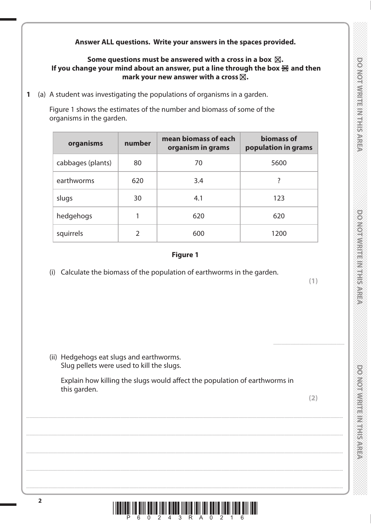# **DOMORWIRENT HERSARE**

# **Answer ALL questions. Write your answers in the spaces provided.**

### Some questions must be answered with a cross in a box  $\boxtimes$ . If you change your mind about an answer, put a line through the box  $\mathbb{\mathbb{R}}$  and then mark your new answer with a cross  $\boxtimes$ .

**1** (a) A student was investigating the populations of organisms in a garden.

 Figure 1 shows the estimates of the number and biomass of some of the organisms in the garden.

| organisms         | number         | mean biomass of each<br>organism in grams | biomass of<br>population in grams |
|-------------------|----------------|-------------------------------------------|-----------------------------------|
| cabbages (plants) | 80             | 70                                        | 5600                              |
| earthworms        | 620            | 3.4                                       |                                   |
| slugs             | 30             | 4.1                                       | 123                               |
| hedgehogs         |                | 620                                       | 620                               |
| squirrels         | $\mathfrak{D}$ | 600                                       | 1200                              |

### **Figure 1**

(i) Calculate the biomass of the population of earthworms in the garden.

**(1)**

 (ii) Hedgehogs eat slugs and earthworms. Slug pellets were used to kill the slugs.

 Explain how killing the slugs would affect the population of earthworms in this garden.

....................................................................................................................................................................................................................................................................................

....................................................................................................................................................................................................................................................................................

....................................................................................................................................................................................................................................................................................

....................................................................................................................................................................................................................................................................................

....................................................................................................................................................................................................................................................................................

**(2)**

..............................................................

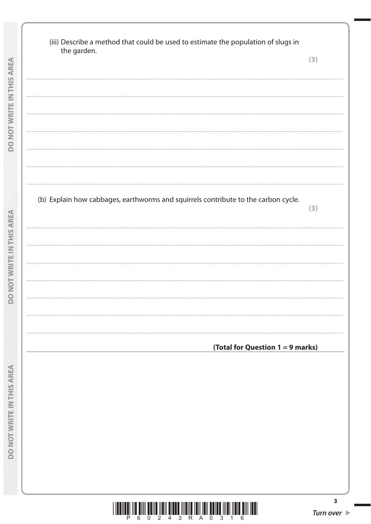|                                         | (iii) Describe a method that could be used to estimate the population of slugs in<br>the garden. | (3) |
|-----------------------------------------|--------------------------------------------------------------------------------------------------|-----|
|                                         |                                                                                                  |     |
| <b>DOMOT WRITEIN THIS AREA</b>          |                                                                                                  |     |
|                                         |                                                                                                  |     |
|                                         |                                                                                                  |     |
|                                         | (b) Explain how cabbages, earthworms and squirrels contribute to the carbon cycle.               | (3) |
| <b>MEDIAN ARTISTS AND REAL PROPERTY</b> |                                                                                                  |     |
|                                         |                                                                                                  |     |
|                                         |                                                                                                  |     |
|                                         |                                                                                                  |     |
|                                         | (Total for Question 1 = 9 marks)                                                                 |     |
|                                         |                                                                                                  |     |
|                                         |                                                                                                  |     |
|                                         |                                                                                                  |     |
| <b>DONOTWRITEINIENS AREA</b>            |                                                                                                  |     |
|                                         |                                                                                                  |     |
|                                         |                                                                                                  |     |

**SERIES** 



 $\overline{\mathbf{3}}$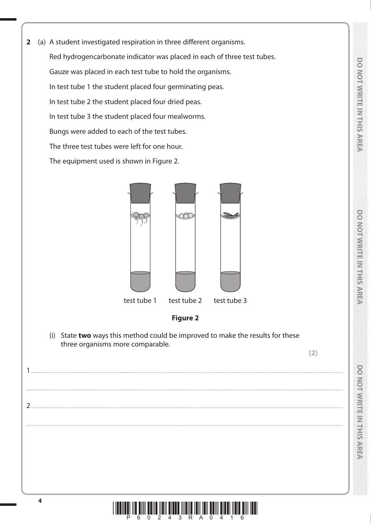**DO NOT WRITE IN THE IN THIS AREA DO NOT WRITE IN THIS AREA DO NOT WRITE IN THIS AREA DO NOT WRITE IN THIS AREA DO NOT WRITE IN THE INTERNATIONAL CONTINUES. THE INTERNATIONAL CONTINUES. DOOMORAL HEADERS ARE** 



**2** (a) A student investigated respiration in three different organisms.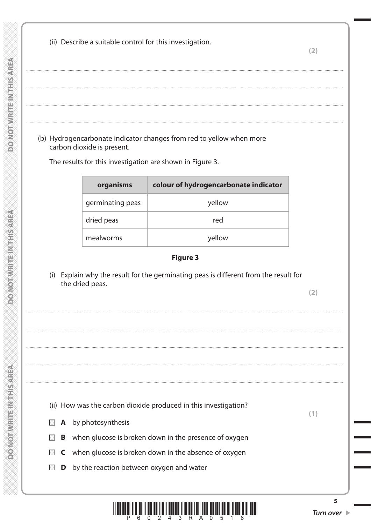|                            |   |                                          | (ii) Describe a suitable control for this investigation.                         | (2)        |  |
|----------------------------|---|------------------------------------------|----------------------------------------------------------------------------------|------------|--|
|                            |   |                                          |                                                                                  |            |  |
|                            |   |                                          | (b) Hydrogencarbonate indicator changes from red to yellow when more             |            |  |
| carbon dioxide is present. |   |                                          |                                                                                  |            |  |
|                            |   |                                          | The results for this investigation are shown in Figure 3.                        |            |  |
|                            |   | organisms                                | colour of hydrogencarbonate indicator                                            |            |  |
|                            |   | germinating peas                         | yellow                                                                           |            |  |
|                            |   | dried peas                               | red                                                                              |            |  |
|                            |   | mealworms                                | yellow                                                                           |            |  |
|                            |   |                                          |                                                                                  |            |  |
|                            |   |                                          | <b>Figure 3</b>                                                                  |            |  |
| (i)                        |   |                                          | Explain why the result for the germinating peas is different from the result for |            |  |
|                            |   | the dried peas.                          |                                                                                  |            |  |
|                            |   |                                          |                                                                                  |            |  |
|                            |   |                                          |                                                                                  |            |  |
|                            |   |                                          |                                                                                  |            |  |
|                            |   |                                          |                                                                                  |            |  |
|                            |   |                                          |                                                                                  |            |  |
|                            |   |                                          |                                                                                  |            |  |
|                            |   |                                          | (ii) How was the carbon dioxide produced in this investigation?                  |            |  |
|                            |   | A by photosynthesis                      |                                                                                  |            |  |
|                            | B |                                          | when glucose is broken down in the presence of oxygen                            |            |  |
|                            |   |                                          | C when glucose is broken down in the absence of oxygen                           |            |  |
|                            | D | by the reaction between oxygen and water |                                                                                  | (2)<br>(1) |  |

 $\begin{array}{c} \text{if} \ \text{if} \ \text{if} \ \text{if} \ \text{if} \ \text{if} \ \text{if} \ \text{if} \ \text{if} \ \text{if} \ \text{if} \ \text{if} \ \text{if} \ \text{if} \ \text{if} \ \text{if} \ \text{if} \ \text{if} \ \text{if} \ \text{if} \ \text{if} \ \text{if} \ \text{if} \ \text{if} \ \text{if} \ \text{if} \ \text{if} \ \text{if} \ \text{if} \ \text{if} \ \text{if} \ \text{if} \ \text{if} \ \text{if} \ \text{if} \ \text{$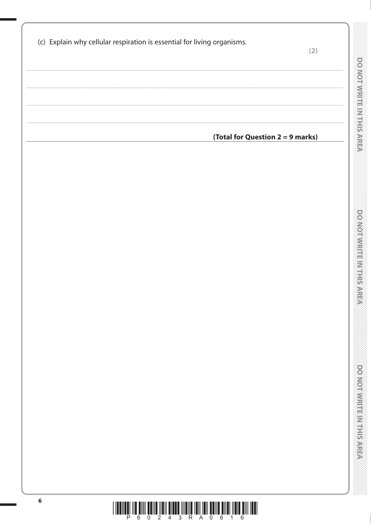|   | (c) Explain why cellular respiration is essential for living organisms.         | (2) |
|---|---------------------------------------------------------------------------------|-----|
|   |                                                                                 |     |
|   |                                                                                 |     |
|   |                                                                                 |     |
|   |                                                                                 |     |
|   | (Total for Question 2 = 9 marks)                                                |     |
|   |                                                                                 |     |
|   |                                                                                 |     |
|   |                                                                                 |     |
|   |                                                                                 |     |
|   |                                                                                 |     |
|   |                                                                                 |     |
|   |                                                                                 |     |
|   |                                                                                 |     |
|   |                                                                                 |     |
|   |                                                                                 |     |
|   |                                                                                 |     |
|   |                                                                                 |     |
|   |                                                                                 |     |
|   |                                                                                 |     |
|   |                                                                                 |     |
|   |                                                                                 |     |
|   |                                                                                 |     |
|   |                                                                                 |     |
|   |                                                                                 |     |
|   |                                                                                 |     |
| 6 | <u> I TERMERI ME RIMI RAMA MAN BIRAR MEME IBN 1811 RAMA BITAN MAR BITI TERI</u> |     |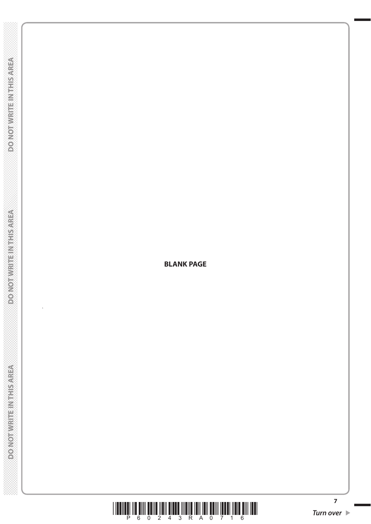

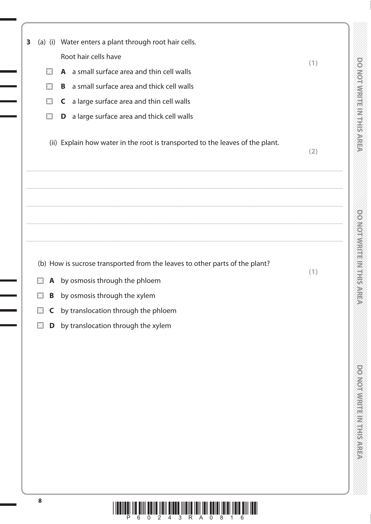|             |          |   | (a) (i) Water enters a plant through root hair cells.                         |     |
|-------------|----------|---|-------------------------------------------------------------------------------|-----|
|             |          |   | Root hair cells have                                                          | (1) |
|             | $\times$ |   | A a small surface area and thin cell walls                                    |     |
|             |          |   | <b>B</b> a small surface area and thick cell walls                            |     |
|             | $\times$ | C | a large surface area and thin cell walls                                      |     |
|             | $\times$ | D | a large surface area and thick cell walls                                     |     |
|             |          |   | (ii) Explain how water in the root is transported to the leaves of the plant. | (2) |
|             |          |   |                                                                               |     |
|             |          |   |                                                                               |     |
|             |          |   |                                                                               |     |
|             |          |   |                                                                               |     |
|             |          |   | (b) How is sucrose transported from the leaves to other parts of the plant?   | (1) |
|             |          |   | A by osmosis through the phloem                                               |     |
|             | B        |   | by osmosis through the xylem                                                  |     |
| $\boxtimes$ | C        |   | by translocation through the phloem                                           |     |
| $\boxtimes$ | D        |   | by translocation through the xylem                                            |     |
|             |          |   |                                                                               |     |
|             |          |   |                                                                               |     |
|             |          |   |                                                                               |     |
|             |          |   |                                                                               |     |
|             |          |   |                                                                               |     |
|             |          |   |                                                                               |     |
|             |          |   |                                                                               |     |
|             |          |   |                                                                               |     |
|             |          |   |                                                                               |     |
|             |          |   |                                                                               |     |
|             |          |   |                                                                               |     |

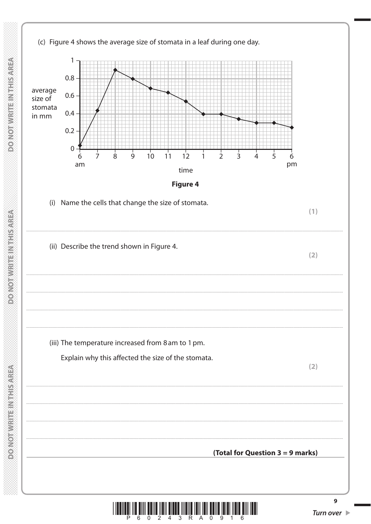

6 0 2 4 3 R A  $\overline{0}$ -9 -6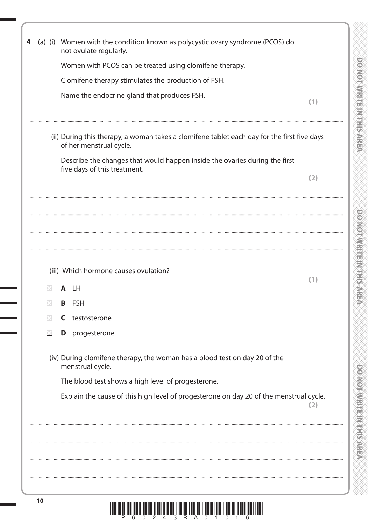|  |   | Č                        |  |  |
|--|---|--------------------------|--|--|
|  |   | Ó                        |  |  |
|  |   |                          |  |  |
|  |   |                          |  |  |
|  |   |                          |  |  |
|  |   |                          |  |  |
|  |   |                          |  |  |
|  |   |                          |  |  |
|  |   |                          |  |  |
|  |   |                          |  |  |
|  |   | Ž                        |  |  |
|  |   |                          |  |  |
|  |   |                          |  |  |
|  |   |                          |  |  |
|  |   |                          |  |  |
|  |   | g                        |  |  |
|  |   |                          |  |  |
|  |   |                          |  |  |
|  |   |                          |  |  |
|  |   |                          |  |  |
|  |   |                          |  |  |
|  |   |                          |  |  |
|  |   |                          |  |  |
|  |   |                          |  |  |
|  |   |                          |  |  |
|  |   |                          |  |  |
|  |   |                          |  |  |
|  |   |                          |  |  |
|  |   |                          |  |  |
|  |   |                          |  |  |
|  |   |                          |  |  |
|  |   |                          |  |  |
|  |   |                          |  |  |
|  |   |                          |  |  |
|  |   |                          |  |  |
|  |   | 쓱                        |  |  |
|  |   |                          |  |  |
|  |   | $\widetilde{\mathbf{u}}$ |  |  |
|  |   |                          |  |  |
|  |   |                          |  |  |
|  |   |                          |  |  |
|  |   |                          |  |  |
|  |   |                          |  |  |
|  | ň |                          |  |  |
|  |   |                          |  |  |
|  | € |                          |  |  |
|  |   |                          |  |  |
|  |   |                          |  |  |
|  |   | ▰                        |  |  |
|  |   |                          |  |  |
|  |   |                          |  |  |
|  |   |                          |  |  |
|  |   |                          |  |  |
|  |   |                          |  |  |
|  |   |                          |  |  |
|  |   |                          |  |  |
|  |   |                          |  |  |
|  |   |                          |  |  |
|  |   |                          |  |  |
|  |   | Î                        |  |  |
|  |   |                          |  |  |
|  |   |                          |  |  |
|  | U |                          |  |  |
|  |   |                          |  |  |
|  |   |                          |  |  |
|  |   |                          |  |  |
|  |   |                          |  |  |
|  |   |                          |  |  |
|  |   |                          |  |  |
|  |   |                          |  |  |
|  |   | 经典                       |  |  |
|  |   |                          |  |  |
|  |   |                          |  |  |
|  |   |                          |  |  |
|  |   |                          |  |  |
|  |   |                          |  |  |
|  |   |                          |  |  |
|  |   |                          |  |  |
|  |   |                          |  |  |
|  |   |                          |  |  |
|  |   |                          |  |  |
|  |   |                          |  |  |
|  |   |                          |  |  |
|  |   |                          |  |  |

|  | (a) (i) Women with the condition known as polycystic ovary syndrome (PCOS) do<br>not ovulate regularly.                |     |
|--|------------------------------------------------------------------------------------------------------------------------|-----|
|  | Women with PCOS can be treated using clomifene therapy.                                                                |     |
|  | Clomifene therapy stimulates the production of FSH.                                                                    |     |
|  | Name the endocrine gland that produces FSH.                                                                            | (1) |
|  | (ii) During this therapy, a woman takes a clomifene tablet each day for the first five days<br>of her menstrual cycle. |     |
|  | Describe the changes that would happen inside the ovaries during the first<br>five days of this treatment.             |     |
|  |                                                                                                                        | (2) |
|  |                                                                                                                        |     |
|  |                                                                                                                        |     |
|  |                                                                                                                        |     |
|  |                                                                                                                        |     |
|  |                                                                                                                        |     |
|  | (iii) Which hormone causes ovulation?                                                                                  | (1) |
|  | A LH                                                                                                                   |     |
|  | <b>FSH</b><br>в                                                                                                        |     |
|  | testosterone<br>C                                                                                                      |     |
|  | progesterone<br>D                                                                                                      |     |
|  | (iv) During clomifene therapy, the woman has a blood test on day 20 of the<br>menstrual cycle.                         |     |
|  | The blood test shows a high level of progesterone.                                                                     |     |
|  | Explain the cause of this high level of progesterone on day 20 of the menstrual cycle.                                 | (2) |
|  |                                                                                                                        |     |
|  |                                                                                                                        |     |
|  |                                                                                                                        |     |
|  |                                                                                                                        |     |
|  |                                                                                                                        |     |

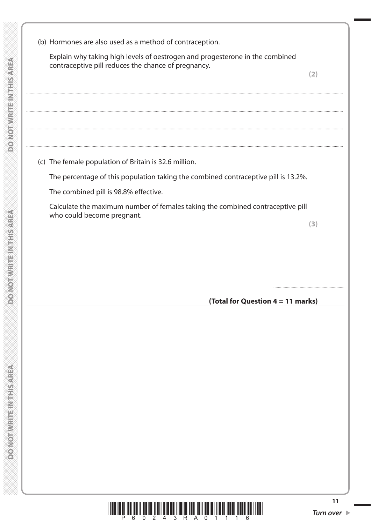(b) Hormones are also used as a method of contraception.

Explain why taking high levels of oestrogen and progesterone in the combined contraceptive pill reduces the chance of pregnancy.

 $(2)$ 

(c) The female population of Britain is 32.6 million.

The percentage of this population taking the combined contraceptive pill is 13.2%.

The combined pill is 98.8% effective.

Calculate the maximum number of females taking the combined contraceptive pill who could become pregnant.

 $(3)$ 

### (Total for Question 4 = 11 marks)

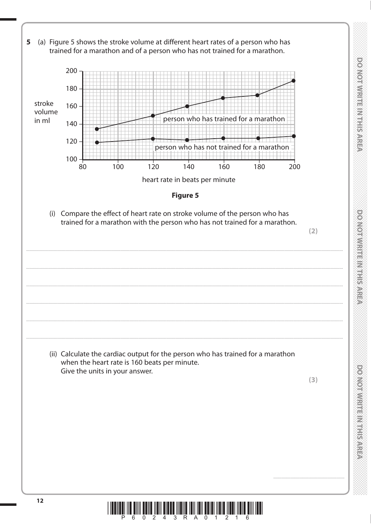

 $\overline{4}$ 

3 R A 0

**DONOMIAN ERIC HISTORY** 

**PONONNE HARRY STREET**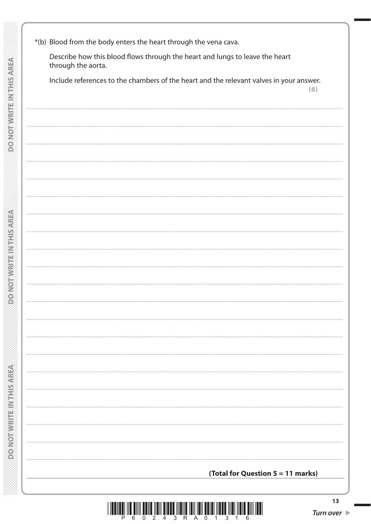|  |  |  | *(b) Blood from the body enters the heart through the vena cava. |  |
|--|--|--|------------------------------------------------------------------|--|
|--|--|--|------------------------------------------------------------------|--|

Describe how this blood flows through the heart and lungs to leave the heart through the aorta.

Include references to the chambers of the heart and the relevant valves in your answer.

 $(6)$ 

| (Total for Question $5 = 11$ marks) |  |
|-------------------------------------|--|
|-------------------------------------|--|

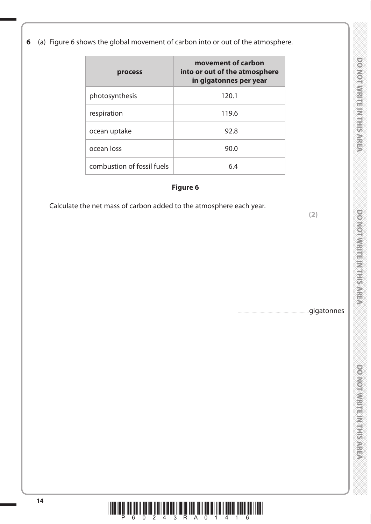**6** (a) Figure 6 shows the global movement of carbon into or out of the atmosphere.

| process                    | movement of carbon<br>into or out of the atmosphere<br>in gigatonnes per year |
|----------------------------|-------------------------------------------------------------------------------|
| photosynthesis             | 120.1                                                                         |
| respiration                | 119.6                                                                         |
| ocean uptake               | 92.8                                                                          |
| ocean loss                 | 90.0                                                                          |
| combustion of fossil fuels | 64                                                                            |

## **Figure 6**

Calculate the net mass of carbon added to the atmosphere each year.

**(2)**

# .gigatonnes

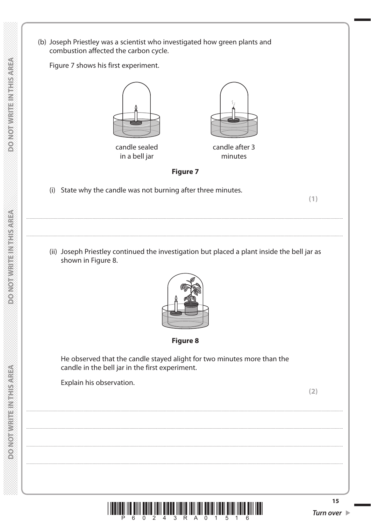(b) Joseph Priestley was a scientist who investigated how green plants and combustion affected the carbon cycle.

Figure 7 shows his first experiment.



in a bell jar

candle after 3 minutes



(i) State why the candle was not burning after three minutes.

 $(1)$ 

(ii) Joseph Priestley continued the investigation but placed a plant inside the bell jar as shown in Figure 8.



**Figure 8** 

0 2 4 3 R A 0 1 5

He observed that the candle stayed alight for two minutes more than the candle in the bell jar in the first experiment.

Explain his observation.



**DONOIRVIER NET SONOIO**